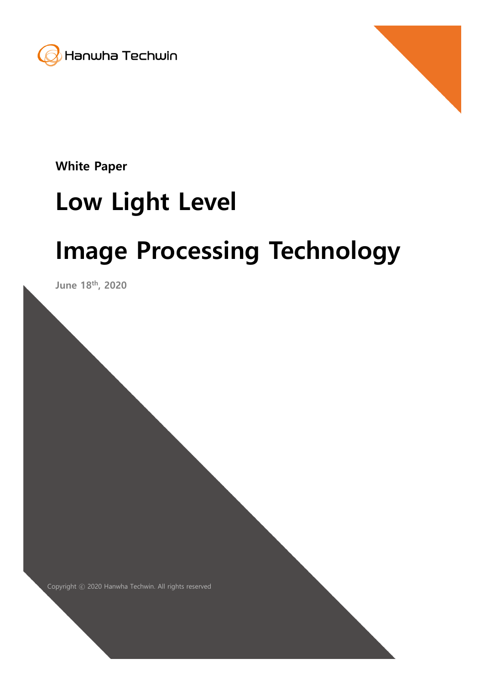



White Paper

# Low Light Level

# Image Processing Technology

Copyright ⓒ 2020 Hanwha Techwin. All rights reserved 1

June 18<sup>th</sup>, 2020

Copyright ⓒ 2020 Hanwha Techwin. All rights reserved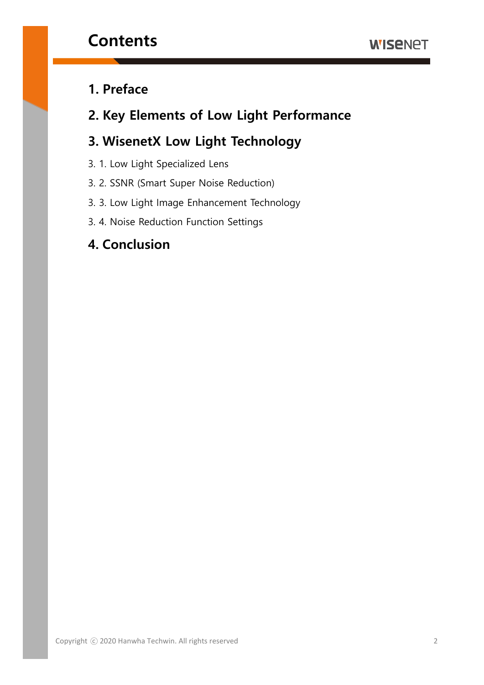### 1. Preface

### 2. Key Elements of Low Light Performance

### 3. WisenetX Low Light Technology

- 3. 1. Low Light Specialized Lens
- 3. 2. SSNR (Smart Super Noise Reduction)
- 3. 3. Low Light Image Enhancement Technology
- 3. 4. Noise Reduction Function Settings

#### 4. Conclusion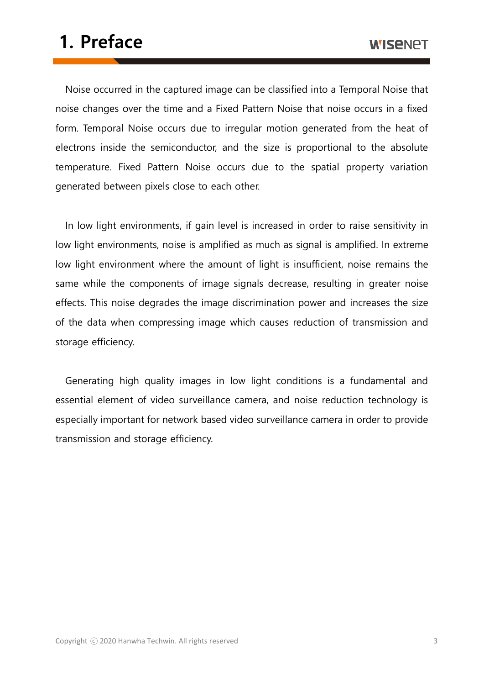## 1. Preface

Noise occurred in the captured image can be classified into a Temporal Noise that noise changes over the time and a Fixed Pattern Noise that noise occurs in a fixed form. Temporal Noise occurs due to irregular motion generated from the heat of electrons inside the semiconductor, and the size is proportional to the absolute temperature. Fixed Pattern Noise occurs due to the spatial property variation generated between pixels close to each other.

In low light environments, if gain level is increased in order to raise sensitivity in low light environments, noise is amplified as much as signal is amplified. In extreme low light environment where the amount of light is insufficient, noise remains the same while the components of image signals decrease, resulting in greater noise effects. This noise degrades the image discrimination power and increases the size of the data when compressing image which causes reduction of transmission and storage efficiency.

Generating high quality images in low light conditions is a fundamental and essential element of video surveillance camera, and noise reduction technology is especially important for network based video surveillance camera in order to provide transmission and storage efficiency.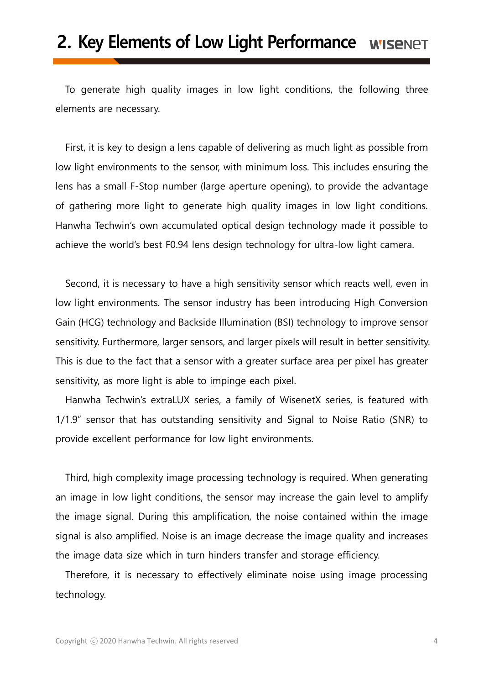### 2. Key Elements of Low Light Performance WISENET

To generate high quality images in low light conditions, the following three elements are necessary.

First, it is key to design a lens capable of delivering as much light as possible from low light environments to the sensor, with minimum loss. This includes ensuring the lens has a small F-Stop number (large aperture opening), to provide the advantage of gathering more light to generate high quality images in low light conditions. Hanwha Techwin's own accumulated optical design technology made it possible to achieve the world's best F0.94 lens design technology for ultra-low light camera.

Second, it is necessary to have a high sensitivity sensor which reacts well, even in low light environments. The sensor industry has been introducing High Conversion Gain (HCG) technology and Backside Illumination (BSI) technology to improve sensor sensitivity. Furthermore, larger sensors, and larger pixels will result in better sensitivity. This is due to the fact that a sensor with a greater surface area per pixel has greater sensitivity, as more light is able to impinge each pixel.

Hanwha Techwin's extraLUX series, a family of WisenetX series, is featured with 1/1.9" sensor that has outstanding sensitivity and Signal to Noise Ratio (SNR) to provide excellent performance for low light environments.

Third, high complexity image processing technology is required. When generating an image in low light conditions, the sensor may increase the gain level to amplify the image signal. During this amplification, the noise contained within the image signal is also amplified. Noise is an image decrease the image quality and increases the image data size which in turn hinders transfer and storage efficiency.

Therefore, it is necessary to effectively eliminate noise using image processing technology.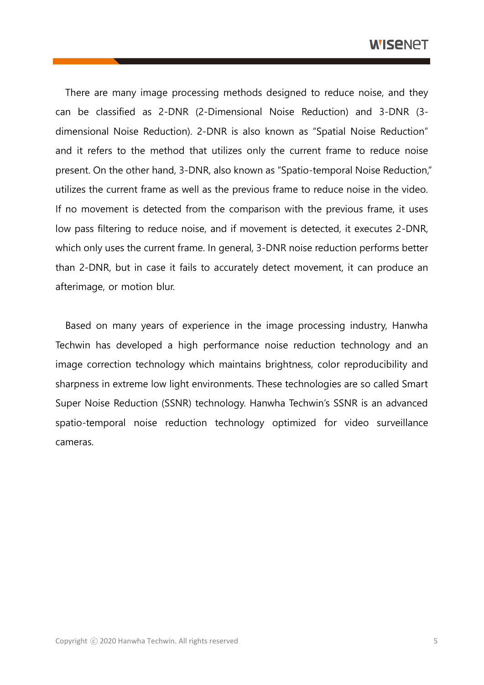There are many image processing methods designed to reduce noise, and they can be classified as 2-DNR (2-Dimensional Noise Reduction) and 3-DNR (3 dimensional Noise Reduction). 2-DNR is also known as "Spatial Noise Reduction" and it refers to the method that utilizes only the current frame to reduce noise present. On the other hand, 3-DNR, also known as "Spatio-temporal Noise Reduction," utilizes the current frame as well as the previous frame to reduce noise in the video. If no movement is detected from the comparison with the previous frame, it uses low pass filtering to reduce noise, and if movement is detected, it executes 2-DNR, which only uses the current frame. In general, 3-DNR noise reduction performs better than 2-DNR, but in case it fails to accurately detect movement, it can produce an afterimage, or motion blur.

Based on many years of experience in the image processing industry, Hanwha Techwin has developed a high performance noise reduction technology and an image correction technology which maintains brightness, color reproducibility and sharpness in extreme low light environments. These technologies are so called Smart Super Noise Reduction (SSNR) technology. Hanwha Techwin's SSNR is an advanced spatio-temporal noise reduction technology optimized for video surveillance cameras.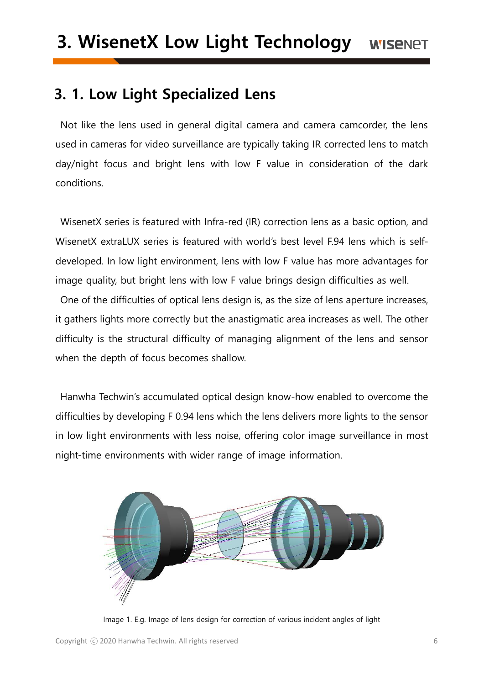### 3. 1. Low Light Specialized Lens

Not like the lens used in general digital camera and camera camcorder, the lens used in cameras for video surveillance are typically taking IR corrected lens to match day/night focus and bright lens with low F value in consideration of the dark conditions.

WisenetX series is featured with Infra-red (IR) correction lens as a basic option, and WisenetX extraLUX series is featured with world's best level F.94 lens which is selfdeveloped. In low light environment, lens with low F value has more advantages for image quality, but bright lens with low F value brings design difficulties as well.

One of the difficulties of optical lens design is, as the size of lens aperture increases, it gathers lights more correctly but the anastigmatic area increases as well. The other difficulty is the structural difficulty of managing alignment of the lens and sensor when the depth of focus becomes shallow.

Hanwha Techwin's accumulated optical design know-how enabled to overcome the difficulties by developing F 0.94 lens which the lens delivers more lights to the sensor in low light environments with less noise, offering color image surveillance in most night-time environments with wider range of image information.



Image 1. E.g. Image of lens design for correction of various incident angles of light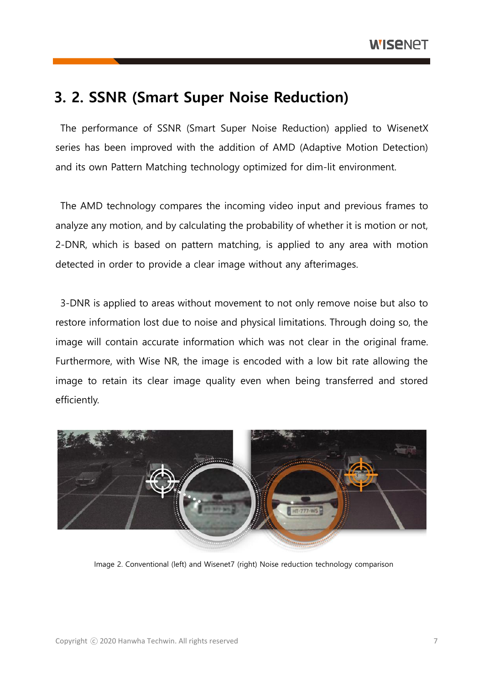### 3. 2. SSNR (Smart Super Noise Reduction)

The performance of SSNR (Smart Super Noise Reduction) applied to WisenetX series has been improved with the addition of AMD (Adaptive Motion Detection) and its own Pattern Matching technology optimized for dim-lit environment.

The AMD technology compares the incoming video input and previous frames to analyze any motion, and by calculating the probability of whether it is motion or not, 2-DNR, which is based on pattern matching, is applied to any area with motion detected in order to provide a clear image without any afterimages.

3-DNR is applied to areas without movement to not only remove noise but also to restore information lost due to noise and physical limitations. Through doing so, the image will contain accurate information which was not clear in the original frame. Furthermore, with Wise NR, the image is encoded with a low bit rate allowing the image to retain its clear image quality even when being transferred and stored efficiently.



Image 2. Conventional (left) and Wisenet7 (right) Noise reduction technology comparison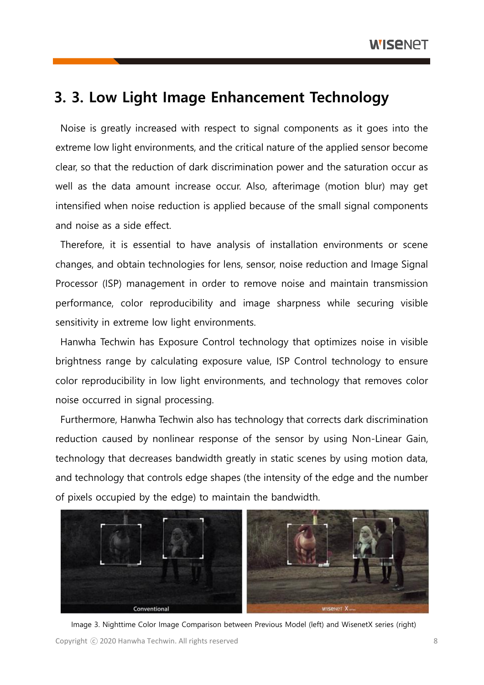### 3. 3. Low Light Image Enhancement Technology

Noise is greatly increased with respect to signal components as it goes into the extreme low light environments, and the critical nature of the applied sensor become clear, so that the reduction of dark discrimination power and the saturation occur as well as the data amount increase occur. Also, afterimage (motion blur) may get intensified when noise reduction is applied because of the small signal components and noise as a side effect.

Therefore, it is essential to have analysis of installation environments or scene changes, and obtain technologies for lens, sensor, noise reduction and Image Signal Processor (ISP) management in order to remove noise and maintain transmission performance, color reproducibility and image sharpness while securing visible sensitivity in extreme low light environments.

Hanwha Techwin has Exposure Control technology that optimizes noise in visible brightness range by calculating exposure value, ISP Control technology to ensure color reproducibility in low light environments, and technology that removes color noise occurred in signal processing.

Furthermore, Hanwha Techwin also has technology that corrects dark discrimination reduction caused by nonlinear response of the sensor by using Non-Linear Gain, technology that decreases bandwidth greatly in static scenes by using motion data, and technology that controls edge shapes (the intensity of the edge and the number of pixels occupied by the edge) to maintain the bandwidth.



Image 3. Nighttime Color Image Comparison between Previous Model (left) and WisenetX series (right)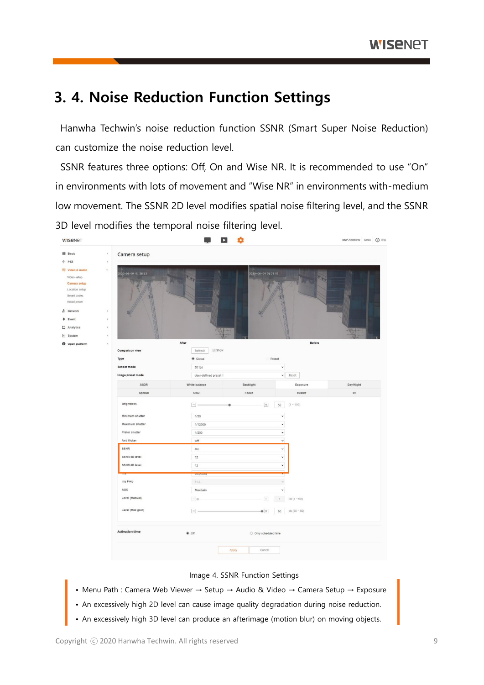### 3. 4. Noise Reduction Function Settings

Hanwha Techwin's noise reduction function SSNR (Smart Super Noise Reduction) can customize the noise reduction level.

SSNR features three options: Off, On and Wise NR. It is recommended to use "On" in environments with lots of movement and "Wise NR" in environments with-medium low movement. The SSNR 2D level modifies spatial noise filtering level, and the SSNR 3D level modifies the temporal noise filtering level.

| <b>WISENET</b>                                                                              |                            | $\mathbf{z}$                                 | ٠                              |                                            | XNP-9300RW admin (2) Help         |  |
|---------------------------------------------------------------------------------------------|----------------------------|----------------------------------------------|--------------------------------|--------------------------------------------|-----------------------------------|--|
| III Basic                                                                                   | $\epsilon$<br>Camera setup |                                              |                                |                                            |                                   |  |
| + PTZ                                                                                       | $\epsilon$                 |                                              |                                |                                            |                                   |  |
| Video & Audio<br>Video setup<br>Camera setup<br>Location setup<br>Smart codec<br>WiseStream | 2020-06-04 01:28:13        | 2020-06-04 01:26:59                          |                                |                                            |                                   |  |
| m Network                                                                                   | $\epsilon$                 |                                              |                                |                                            |                                   |  |
| # Event                                                                                     | $\epsilon$                 |                                              |                                |                                            |                                   |  |
| $\Box$ Analytics                                                                            | $\epsilon$                 |                                              |                                |                                            |                                   |  |
| o System                                                                                    | $\epsilon$                 |                                              |                                |                                            |                                   |  |
| <b>O</b> Open platform                                                                      | $\epsilon$                 | After                                        |                                | Before                                     |                                   |  |
|                                                                                             | <b>Comparison view</b>     | $\sqrt{2}$ Show<br>Refresh                   |                                |                                            |                                   |  |
|                                                                                             | Type<br>Sensor mode        | Global                                       | Preset                         |                                            |                                   |  |
|                                                                                             | Image preset mode          | 30 fps<br>User-defined preset 1              |                                | $\check{~}$<br>$\blacktriangleright$ Reset |                                   |  |
|                                                                                             | SSDR                       | White balance                                | Backlight                      | Exposure                                   | Day/Night                         |  |
|                                                                                             | Special                    | OSD                                          | Focus                          | Heater                                     | $\ensuremath{\mathsf{IR}}\xspace$ |  |
|                                                                                             |                            |                                              |                                |                                            |                                   |  |
|                                                                                             | <b>Brightness</b>          | $\Box$                                       | $\overline{+}$                 | $(1 - 100)$<br>50                          |                                   |  |
|                                                                                             | Minimum shutter            | 1/30<br>$\check{~}$<br>$\check{}$<br>1/12000 |                                |                                            |                                   |  |
|                                                                                             | Maximum shutter            |                                              |                                |                                            |                                   |  |
|                                                                                             | Prefer shutter             | 1/200                                        |                                | $_{\rm v}$                                 |                                   |  |
|                                                                                             | Anti flicker               | Off                                          |                                | $\check{~}$                                |                                   |  |
|                                                                                             | SSNR                       | on                                           |                                | $\check{~}$                                |                                   |  |
|                                                                                             | SSNR 2D level              | 12                                           |                                | $\check{~}$                                |                                   |  |
|                                                                                             | SSNR 3D level              | 12                                           |                                | $\check{~}$                                |                                   |  |
|                                                                                             |                            | <b>CANTON</b>                                |                                |                                            |                                   |  |
|                                                                                             | Iris F-No                  | F1.6                                         |                                | i,                                         |                                   |  |
|                                                                                             | AGC                        | MaxGain                                      |                                | $\check{~}$                                |                                   |  |
|                                                                                             | Level (Manual)             | $-$ 0                                        |                                | db $(1 - 60)$<br>1.1                       |                                   |  |
|                                                                                             | Level (Max gain)           | $\Box$                                       | $\bullet$ +                    | db $(30 - 60)$<br>60                       |                                   |  |
|                                                                                             | <b>Activation time</b>     | @ off                                        | $\bigcirc$ Only scheduled time |                                            |                                   |  |
|                                                                                             |                            |                                              | Apply<br>Cancel                |                                            |                                   |  |

#### Image 4. SSNR Function Settings

- Menu Path : Camera Web Viewer → Setup → Audio & Video → Camera Setup → Exposure
- An excessively high 2D level can cause image quality degradation during noise reduction.
- An excessively high 3D level can produce an afterimage (motion blur) on moving objects.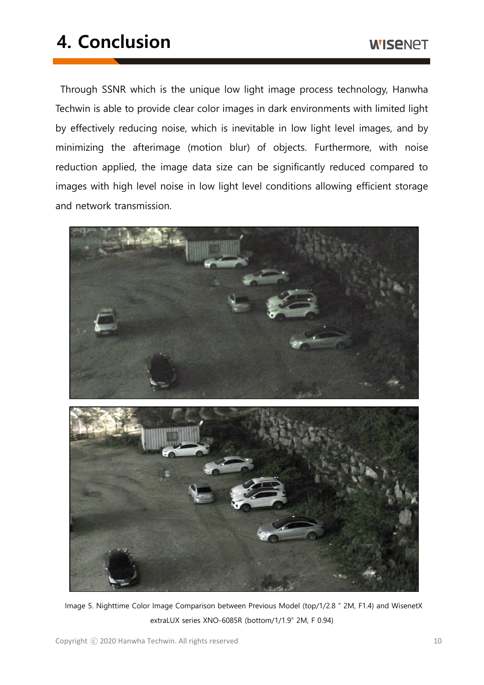## 4. Conclusion

Through SSNR which is the unique low light image process technology, Hanwha Techwin is able to provide clear color images in dark environments with limited light by effectively reducing noise, which is inevitable in low light level images, and by minimizing the afterimage (motion blur) of objects. Furthermore, with noise reduction applied, the image data size can be significantly reduced compared to images with high level noise in low light level conditions allowing efficient storage and network transmission.



Image 5. Nighttime Color Image Comparison between Previous Model (top/1/2.8 " 2M, F1.4) and WisenetX extraLUX series XNO-6085R (bottom/1/1.9" 2M, F 0.94)